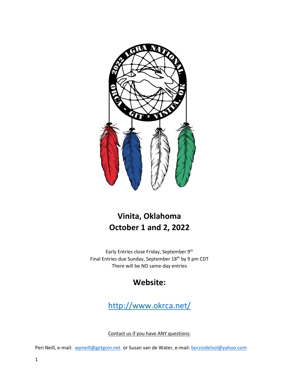

# **Vinita, Oklahoma October 1 and 2, 2022**

Early Entries close Friday, September 9<sup>th</sup> Final Entries due Sunday, September 18<sup>th</sup> by 9 pm CDT There will be NO same-day entries

# **Website:**

<http://www.okrca.net/>

Contact us if you have ANY questions:

Peri Neill, e-mail: [wpneill@getgoin.net](mailto:wpneill@getgoin.net) or Susan van de Water, e-mail[: borzoidelsol@yahoo.com](mailto:borzoidelsol@yahoo.com)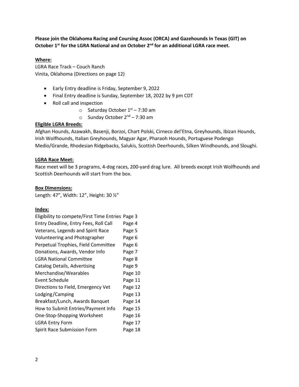**Please join the Oklahoma Racing and Coursing Assoc (ORCA) and Gazehounds In Texas (GIT) on October 1st for the LGRA National and on October 2nd for an additional LGRA race meet.** 

# **Where:**

LGRA Race Track – Couch Ranch Vinita, Oklahoma (Directions on page 12)

- Early Entry deadline is Friday, September 9, 2022
- Final Entry deadline is Sunday, September 18, 2022 by 9 pm CDT
- Roll call and inspection
	- $\circ$  Saturday October 1st 7:30 am
	- $\circ$  Sunday October 2<sup>nd</sup> 7:30 am

#### **Eligible LGRA Breeds:**

Afghan Hounds, Azawakh, Basenji, Borzoi, Chart Polski, Cirneco del'Etna, Greyhounds, Ibizan Hounds, Irish Wolfhounds, Italian Greyhounds, Magyar Agar, Pharaoh Hounds, Portuguese Podengo Medio/Grande, Rhodesian Ridgebacks, Salukis, Scottish Deerhounds, Silken Windhounds, and Sloughi.

### **LGRA Race Meet:**

Race meet will be 3 programs, 4-dog races, 200-yard drag lure. All breeds except Irish Wolfhounds and Scottish Deerhounds will start from the box.

### **Box Dimensions:**

Length: 47", Width: 12", Height: 30 ½"

#### **Index:**

| Eligibility to compete/First Time Entries Page 3 |         |
|--------------------------------------------------|---------|
| Entry Deadline, Entry Fees, Roll Call            | Page 4  |
| Veterans, Legends and Spirit Race                | Page 5  |
| Volunteering and Photographer                    | Page 6  |
| Perpetual Trophies, Field Committee              | Page 6  |
| Donations, Awards, Vendor Info                   | Page 7  |
| <b>LGRA National Committee</b>                   | Page 8  |
| Catalog Details, Advertising                     | Page 9  |
| Merchandise/Wearables                            | Page 10 |
| Event Schedule                                   | Page 11 |
| Directions to Field, Emergency Vet               | Page 12 |
| Lodging/Camping                                  | Page 13 |
| Breakfast/Lunch, Awards Banquet                  | Page 14 |
| How to Submit Entries/Payment Info               | Page 15 |
| One-Stop-Shopping Worksheet                      | Page 16 |
| <b>LGRA Entry Form</b>                           | Page 17 |
| Spirit Race Submission Form                      | Page 18 |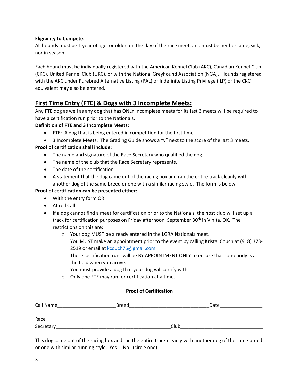## **Eligibility to Compete:**

All hounds must be 1 year of age, or older, on the day of the race meet, and must be neither lame, sick, nor in season.

Each hound must be individually registered with the American Kennel Club (AKC), Canadian Kennel Club (CKC), United Kennel Club (UKC), or with the National Greyhound Association (NGA). Hounds registered with the AKC under Purebred Alternative Listing (PAL) or Indefinite Listing Privilege (ILP) or the CKC equivalent may also be entered.

# **First Time Entry (FTE) & Dogs with 3 Incomplete Meets:**

Any FTE dog as well as any dog that has ONLY incomplete meets for its last 3 meets will be required to have a certification run prior to the Nationals.

### **Definition of FTE and 3 Incomplete Meets:**

- FTE: A dog that is being entered in competition for the first time.
- 3 Incomplete Meets: The Grading Guide shows a "y" next to the score of the last 3 meets.

### **Proof of certification shall include:**

- The name and signature of the Race Secretary who qualified the dog.
- The name of the club that the Race Secretary represents.
- The date of the certification.
- A statement that the dog came out of the racing box and ran the entire track cleanly with another dog of the same breed or one with a similar racing style. The form is below.

#### **Proof of certification can be presented either:**

- With the entry form OR
- At roll Call
- If a dog cannot find a meet for certification prior to the Nationals, the host club will set up a track for certification purposes on Friday afternoon, September 30<sup>th</sup> in Vinita, OK. The restrictions on this are:
	- o Your dog MUST be already entered in the LGRA Nationals meet.
	- o You MUST make an appointment prior to the event by calling Kristal Couch at (918) 373- 2519 or email a[t kcouch76@gmail.com](mailto:kcouch76@gmail.com)
	- $\circ$  These certification runs will be BY APPOINTMENT ONLY to ensure that somebody is at the field when you arrive.
	- o You must provide a dog that your dog will certify with.
	- o Only one FTE may run for certification at a time.

------------------------------------------------------------------------------------------------------------------------------------------

#### **Proof of Certification**

| Call Name | <b>Breed</b> |      |  | Date |  |
|-----------|--------------|------|--|------|--|
|           |              |      |  |      |  |
| Race      |              |      |  |      |  |
| Secretary |              | Club |  |      |  |

This dog came out of the racing box and ran the entire track cleanly with another dog of the same breed or one with similar running style. Yes No (circle one)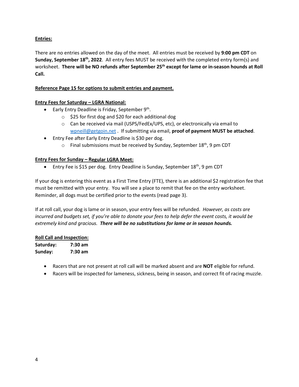# **Entries:**

There are no entries allowed on the day of the meet. All entries must be received by **9:00 pm CDT** on **Sunday, September 18th, 2022**. All entry fees MUST be received with the completed entry form(s) and worksheet. **There will be NO refunds after September 25th except for lame or in-season hounds at Roll Call.**

# **Reference Page 15 for options to submit entries and payment.**

# **Entry Fees for Saturday – LGRA National:**

- **•** Early Entry Deadline is Friday, September  $9<sup>th</sup>$ .
	- o \$25 for first dog and \$20 for each additional dog
	- $\circ$  Can be received via mail (USPS/FedEx/UPS, etc), or electronically via email to [wpneill@getgoin.net](mailto:wpneill@getgoin.net) . If submitting via email, **proof of payment MUST be attached**.
- Entry Fee after Early Entry Deadline is \$30 per dog.
	- $\circ$  Final submissions must be received by Sunday, September 18<sup>th</sup>, 9 pm CDT

# **Entry Fees for Sunday – Regular LGRA Meet:**

• Entry Fee is \$15 per dog. Entry Deadline is Sunday, September 18<sup>th</sup>, 9 pm CDT

If your dog is entering this event as a First Time Entry (FTE), there is an additional \$2 registration fee that must be remitted with your entry. You will see a place to remit that fee on the entry worksheet. Reminder, all dogs must be certified prior to the events (read page 3).

If at roll call, your dog is lame or in season, your entry fees will be refunded. *However, as costs are incurred and budgets set, if you're able to donate your fees to help defer the event costs, it would be extremely kind and gracious. There will be no substitutions for lame or in season hounds.*

# **Roll Call and Inspection:**

**Saturday: 7:30 am Sunday: 7:30 am**

- Racers that are not present at roll call will be marked absent and are **NOT** eligible for refund.
- Racers will be inspected for lameness, sickness, being in season, and correct fit of racing muzzle.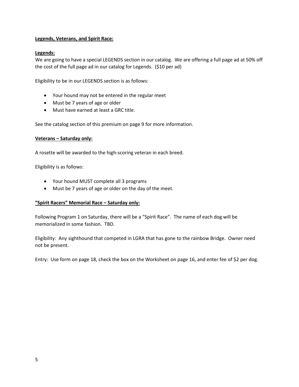#### **Legends, Veterans, and Spirit Race:**

## **Legends:**

We are going to have a special LEGENDS section in our catalog. We are offering a full page ad at 50% off the cost of the full page ad in our catalog for Legends. (\$10 per ad)

Eligibility to be in our LEGENDS section is as follows:

- Your hound may not be entered in the regular meet
- Must be 7 years of age or older
- Must have earned at least a GRC title.

See the catalog section of this premium on page 9 for more information.

#### **Veterans – Saturday only:**

A rosette will be awarded to the high-scoring veteran in each breed.

Eligibility is as follows:

- Your hound MUST complete all 3 programs
- Must be 7 years of age or older on the day of the meet.

#### **"Spirit Racers" Memorial Race – Saturday only:**

Following Program 1 on Saturday, there will be a "Spirit Race". The name of each dog will be memorialized in some fashion. TBD.

Eligibility: Any sighthound that competed in LGRA that has gone to the rainbow Bridge. Owner need not be present.

Entry: Use form on page 18, check the box on the Worksheet on page 16, and enter fee of \$2 per dog.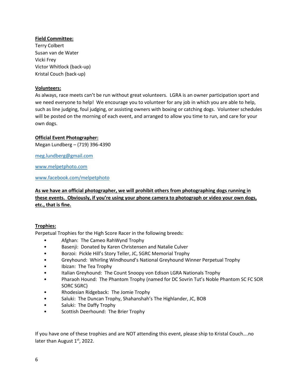## **Field Committee:**

Terry Colbert Susan van de Water Vicki Frey Victor Whitlock (back-up) Kristal Couch (back-up)

### **Volunteers:**

As always, race meets can't be run without great volunteers. LGRA is an owner participation sport and we need everyone to help! We encourage you to volunteer for any job in which you are able to help, such as line judging, foul judging, or assisting owners with boxing or catching dogs. Volunteer schedules will be posted on the morning of each event, and arranged to allow you time to run, and care for your own dogs.

### **Official Event Photographer:**

Megan Lundberg – (719) 396-4390

[meg.lundberg@gmail.com](mailto:meg.lundberg@gmail.com)

[www.melpetphoto.com](http://www.melpetphoto.com/)

[www.facebook.com/melpetphoto](http://www.facebook.com/melpetphoto)

# **As we have an official photographer, we will prohibit others from photographing dogs running in these events. Obviously, if you're using your phone camera to photograph or video your own dogs, etc., that is fine.**

#### **Trophies:**

Perpetual Trophies for the High Score Racer in the following breeds:

- Afghan: The Cameo RahWynd Trophy
- Basenji: Donated by Karen Christensen and Natalie Culver
- Borzoi: Pickle Hill's Story Teller, JC, SGRC Memorial Trophy
- Greyhound: Whirling Windhound's National Greyhound Winner Perpetual Trophy
- Ibizan: The Tea Trophy
- Italian Greyhound: The Count Snoopy von Edison LGRA Nationals Trophy
- Pharaoh Hound: The Phantom Trophy (named for DC Sovrin Tut's Noble Phantom SC FC SOR SORC SGRC)
- Rhodesian Ridgeback: The Jomie Trophy
- Saluki: The Duncan Trophy, Shahanshah's The Highlander, JC, BOB
- Saluki: The Daffy Trophy
- Scottish Deerhound: The Brier Trophy

If you have one of these trophies and are NOT attending this event, please ship to Kristal Couch….no later than August  $1<sup>st</sup>$ , 2022.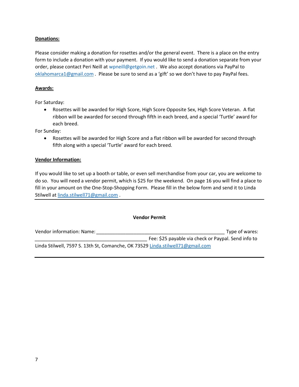### **Donations:**

Please consider making a donation for rosettes and/or the general event. There is a place on the entry form to include a donation with your payment. If you would like to send a donation separate from your order, please contact Peri Neill at [wpneill@getgoin.net](mailto:wpneill@getgoin.net) . We also accept donations via PayPal to [oklahomarca1@gmail.com](mailto:oklahomarca1@gmail.com) . Please be sure to send as a 'gift' so we don't have to pay PayPal fees.

#### **Awards:**

For Saturday:

• Rosettes will be awarded for High Score, High Score Opposite Sex, High Score Veteran. A flat ribbon will be awarded for second through fifth in each breed, and a special 'Turtle' award for each breed.

For Sunday:

• Rosettes will be awarded for High Score and a flat ribbon will be awarded for second through fifth along with a special 'Turtle' award for each breed.

#### **Vendor Information:**

If you would like to set up a booth or table, or even sell merchandise from your car, you are welcome to do so. You will need a vendor permit, which is \$25 for the weekend. On page 16 you will find a place to fill in your amount on the One-Stop-Shopping Form. Please fill in the below form and send it to Linda Stilwell at [linda.stilwell71@gmail.com](mailto:linda.stilwell71@gmail.com) .

| <b>Vendor Permit</b>                                                           |                                                     |  |  |
|--------------------------------------------------------------------------------|-----------------------------------------------------|--|--|
| Vendor information: Name:                                                      | Type of wares:                                      |  |  |
|                                                                                | Fee: \$25 payable via check or Paypal. Send info to |  |  |
| Linda Stilwell, 7597 S. 13th St, Comanche, OK 73529 Linda.stilwell71@gmail.com |                                                     |  |  |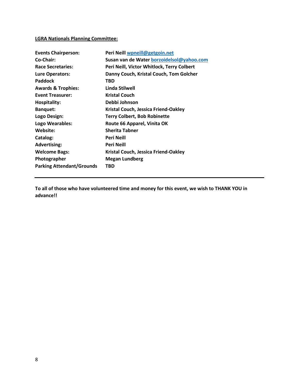# **LGRA Nationals Planning Committee:**

| <b>Events Chairperson:</b>       | Peri Neill wpneill@getgoin.net             |
|----------------------------------|--------------------------------------------|
| Co-Chair:                        | Susan van de Water borzoidelsol@yahoo.com  |
| <b>Race Secretaries:</b>         | Peri Neill, Victor Whitlock, Terry Colbert |
| <b>Lure Operators:</b>           | Danny Couch, Kristal Couch, Tom Golcher    |
| <b>Paddock</b>                   | TBD                                        |
| <b>Awards &amp; Trophies:</b>    | Linda Stilwell                             |
| <b>Event Treasurer:</b>          | <b>Kristal Couch</b>                       |
| <b>Hospitality:</b>              | Debbi Johnson                              |
| <b>Banquet:</b>                  | Kristal Couch, Jessica Friend-Oakley       |
| Logo Design:                     | <b>Terry Colbert, Bob Robinette</b>        |
| Logo Wearables:                  | Route 66 Apparel, Vinita OK                |
| Website:                         | <b>Sherita Tabner</b>                      |
| Catalog:                         | <b>Peri Neill</b>                          |
| <b>Advertising:</b>              | Peri Neill                                 |
| <b>Welcome Bags:</b>             | Kristal Couch, Jessica Friend-Oakley       |
| Photographer                     | <b>Megan Lundberg</b>                      |
| <b>Parking Attendant/Grounds</b> | TBD                                        |

**To all of those who have volunteered time and money for this event, we wish to THANK YOU in advance!!**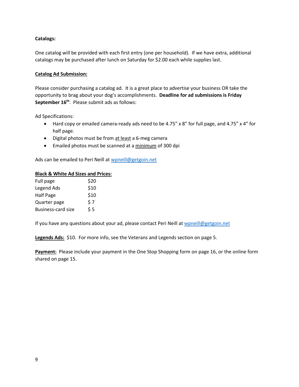### **Catalogs:**

One catalog will be provided with each first entry (one per household). If we have extra, additional catalogs may be purchased after lunch on Saturday for \$2.00 each while supplies last.

#### **Catalog Ad Submission:**

Please consider purchasing a catalog ad. It is a great place to advertise your business OR take the opportunity to brag about your dog's accomplishments. **Deadline for ad submissions is Friday** September 16<sup>th</sup>. Please submit ads as follows:

Ad Specifications:

- Hard copy or emailed camera-ready ads need to be 4.75" x 8" for full page, and 4.75" x 4" for half page.
- Digital photos must be from at least a 6-meg camera
- Emailed photos must be scanned at a minimum of 300 dpi

Ads can be emailed to Peri Neill at [wpneill@getgoin.net](mailto:wpneill@getgoin.net)

#### **Black & White Ad Sizes and Prices:**

| Full page                 | \$20 |
|---------------------------|------|
| Legend Ads                | \$10 |
| Half Page                 | \$10 |
| Quarter page              | \$7  |
| <b>Business-card size</b> | \$5  |

If you have any questions about your ad, please contact Peri Neill at [wpneill@getgoin.net](mailto:wpneill@getgoin.net)

**Legends Ads:** \$10. For more info, see the Veterans and Legends section on page 5.

Payment: Please include your payment in the One Stop Shopping form on page 16, or the online form shared on page 15.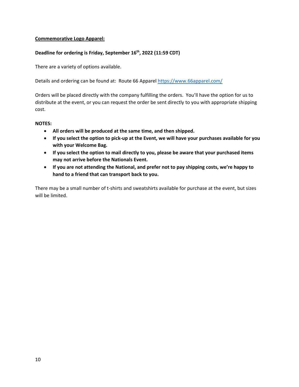#### **Commemorative Logo Apparel:**

# **Deadline for ordering is Friday, September 16th, 2022 (11:59 CDT)**

There are a variety of options available.

Details and ordering can be found at: Route 66 Apparel<https://www.66apparel.com/>

Orders will be placed directly with the company fulfilling the orders. You'll have the option for us to distribute at the event, or you can request the order be sent directly to you with appropriate shipping cost.

#### **NOTES:**

- **All orders will be produced at the same time, and then shipped.**
- **If you select the option to pick-up at the Event, we will have your purchases available for you with your Welcome Bag.**
- **If you select the option to mail directly to you, please be aware that your purchased items may not arrive before the Nationals Event.**
- **If you are not attending the National, and prefer not to pay shipping costs, we're happy to hand to a friend that can transport back to you.**

There may be a small number of t-shirts and sweatshirts available for purchase at the event, but sizes will be limited.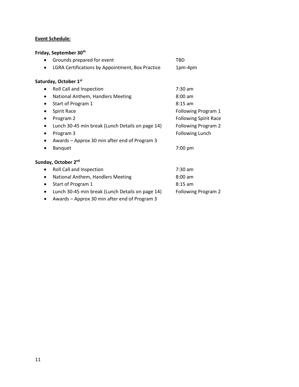# **Event Schedule:**

# **Friday, September 30th**

| ٠         | Grounds prepared for event                       | TBD                          |
|-----------|--------------------------------------------------|------------------------------|
| $\bullet$ | LGRA Certifications by Appointment, Box Practice | 1pm-4pm                      |
|           | Saturday, October 1st                            |                              |
|           | Roll Call and Inspection                         | $7:30$ am                    |
| $\bullet$ | National Anthem, Handlers Meeting                | $8:00$ am                    |
| ٠         | Start of Program 1                               | $8:15$ am                    |
|           | Spirit Race                                      | Following Program 1          |
| ٠         | Program 2                                        | <b>Following Spirit Race</b> |
| $\bullet$ | Lunch 30-45 min break (Lunch Details on page 14) | Following Program 2          |
| ٠         | Program 3                                        | <b>Following Lunch</b>       |
|           | Awards - Approx 30 min after end of Program 3    |                              |
|           | <b>Banquet</b>                                   | 7:00 pm                      |
|           | Sunday, October 2 <sup>nd</sup>                  |                              |
|           | Roll Call and Inspection                         | $7:30$ am                    |
| ٠         | National Anthem, Handlers Meeting                | $8:00$ am                    |
| $\bullet$ | Start of Program 1                               | $8:15$ am                    |
| $\bullet$ | Lunch 30-45 min break (Lunch Details on page 14) | Following Program 2          |
|           | Awards - Approx 30 min after end of Program 3    |                              |

11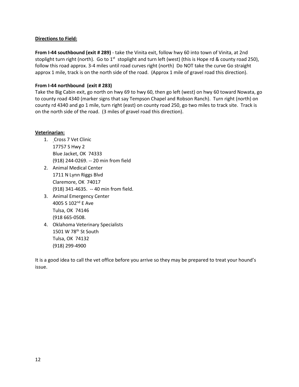#### **Directions to Field:**

**From I-44 southbound (exit # 289)** - take the Vinita exit, follow hwy 60 into town of Vinita, at 2nd stoplight turn right (north). Go to 1<sup>st</sup> stoplight and turn left (west) (this is Hope rd & county road 250), follow this road approx. 3-4 miles until road curves right (north) Do NOT take the curve Go straight approx 1 mile, track is on the north side of the road. (Approx 1 mile of gravel road this direction).

## **From I-44 northbound (exit # 283)**

Take the Big Cabin exit, go north on hwy 69 to hwy 60, then go left (west) on hwy 60 toward Nowata, go to county road 4340 (marker signs that say Tempson Chapel and Robson Ranch). Turn right (north) on county rd 4340 and go 1 mile, turn right (east) on county road 250, go two miles to track site. Track is on the north side of the road. (3 miles of gravel road this direction).

#### **Veterinarian:**

- 1. Cross 7 Vet Clinic 17757 S Hwy 2 Blue Jacket, OK 74333 (918) 244-0269. -- 20 min from field
- 2. Animal Medical Center 1711 N Lynn Riggs Blvd Claremore, OK 74017 (918) 341-4635. -- 40 min from field.
- 3. Animal Emergency Center 4005 S 102nd E Ave Tulsa, OK 74146 (918 665-0508.
- 4. Oklahoma Veterinary Specialists 1501 W 78<sup>th</sup> St South Tulsa, OK 74132 (918) 299-4900

It is a good idea to call the vet office before you arrive so they may be prepared to treat your hound's issue.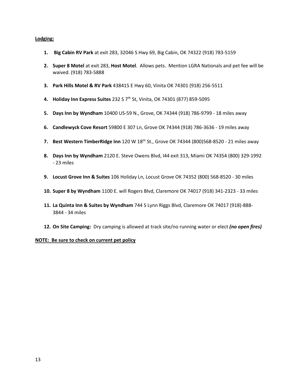#### **Lodging:**

- **1. Big Cabin RV Park** at exit 283, 32046 S Hwy 69, Big Cabin, OK 74322 (918) 783-5159
- **2. Super 8 Motel** at exit 283, **Host Motel**. Allows pets. Mention LGRA Nationals and pet fee will be waived. (918) 783-5888
- **3. Park Hills Motel & RV Park** 438415 E Hwy 60, Vinita OK 74301 (918) 256-5511
- **4. Holiday Inn Express Suites** 232 S 7th St, Vinita, OK 74301 (877) 859-5095
- **5. Days Inn by Wyndham** 10400 US-59 N., Grove, OK 74344 (918) 786-9799 18 miles away
- **6. Candlewyck Cove Resort** 59800 E 307 Ln, Grove OK 74344 (918) 786-3636 19 miles away
- **7. Best Western TimberRidge Inn** 120 W 18th St., Grove OK 74344 (800)568-8520 21 miles away
- **8. Days Inn by Wyndham** 2120 E. Steve Owens Blvd, I44 exit 313, Miami OK 74354 (800) 329-1992 - 23 miles
- **9. Locust Grove Inn & Suites** 106 Holiday Ln, Locust Grove OK 74352 (800) 568-8520 30 miles
- **10. Super 8 by Wyndham** 1100 E. will Rogers Blvd, Claremore OK 74017 (918) 341-2323 33 miles
- **11. La Quinta Inn & Suites by Wyndham** 744 S Lynn Riggs Blvd, Claremore OK 74017 (918)-888- 3844 - 34 miles
- **12. On Site Camping:** Dry camping is allowed at track site/no running water or elect *(no open fires)*

#### **NOTE: Be sure to check on current pet policy**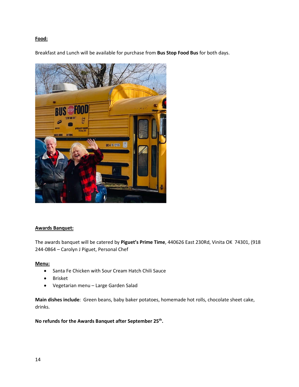### **Food:**

Breakfast and Lunch will be available for purchase from **Bus Stop Food Bus** for both days.



#### **Awards Banquet:**

The awards banquet will be catered by **Piguet's Prime Time**, 440626 East 230Rd, Vinita OK 74301, (918 244-0864 – Carolyn J Piguet, Personal Chef

#### **Menu:**

- Santa Fe Chicken with Sour Cream Hatch Chili Sauce
- Brisket
- Vegetarian menu Large Garden Salad

**Main dishes include**: Green beans, baby baker potatoes, homemade hot rolls, chocolate sheet cake, drinks.

**No refunds for the Awards Banquet after September 25th.**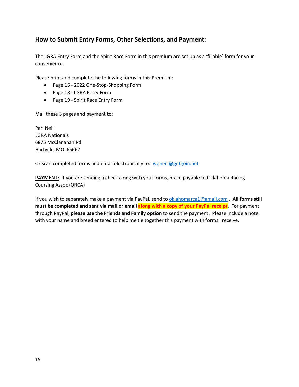# **How to Submit Entry Forms, Other Selections, and Payment:**

The LGRA Entry Form and the Spirit Race Form in this premium are set up as a 'fillable' form for your convenience.

Please print and complete the following forms in this Premium:

- Page 16 2022 One-Stop-Shopping Form
- Page 18 LGRA Entry Form
- Page 19 Spirit Race Entry Form

Mail these 3 pages and payment to:

Peri Neill LGRA Nationals 6875 McClanahan Rd Hartville, MO 65667

Or scan completed forms and email electronically to: [wpneill@getgoin.net](mailto:wpneill@getgoin.net)

**PAYMENT:** If you are sending a check along with your forms, make payable to Oklahoma Racing Coursing Assoc (ORCA)

If you wish to separately make a payment via PayPal, send to [oklahomarca1@gmail.com](mailto:oklahomarca1@gmail.com) . **All forms still must be completed and sent via mail or email along with a copy of your PayPal receipt.** For payment through PayPal, **please use the Friends and Family option** to send the payment. Please include a note with your name and breed entered to help me tie together this payment with forms I receive.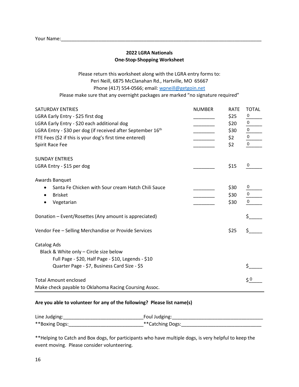# **2022 LGRA Nationals One-Stop-Shopping Worksheet**

Please return this worksheet along with the LGRA entry forms to: Peri Neill, 6875 McClanahan Rd., Hartville, MO 65667 Phone (417) 554-0566; email: [wpneill@getgoin.net](mailto:wpneill@getgoin.net) Please make sure that any overnight packages are marked "no signature required"

| <b>SATURDAY ENTRIES</b>                                     | <b>NUMBER</b> | <b>RATE</b> | <b>TOTAL</b>         |
|-------------------------------------------------------------|---------------|-------------|----------------------|
| LGRA Early Entry - \$25 first dog                           |               | \$25        | 0                    |
| LGRA Early Entry - \$20 each additional dog                 |               | \$20        | $\pmb{0}$            |
| LGRA Entry - \$30 per dog (if received after September 16th |               | \$30        | $\pmb{0}$            |
| FTE Fees (\$2 if this is your dog's first time entered)     |               | \$2         | 0                    |
| Spirit Race Fee                                             |               | \$2         | 0                    |
|                                                             |               |             |                      |
| <b>SUNDAY ENTRIES</b>                                       |               |             |                      |
| LGRA Entry - \$15 per dog                                   |               | \$15        | 0                    |
|                                                             |               |             |                      |
| Awards Banquet                                              |               |             |                      |
| Santa Fe Chicken with Sour cream Hatch Chili Sauce          |               | \$30        | 0                    |
| <b>Brisket</b>                                              |               | \$30        | 0                    |
| Vegetarian                                                  |               | \$30        | $\pmb{0}$            |
|                                                             |               |             |                      |
| Donation - Event/Rosettes (Any amount is appreciated)       |               |             | \$                   |
|                                                             |               |             |                      |
| Vendor Fee - Selling Merchandise or Provide Services        |               | \$25        | Ś                    |
|                                                             |               |             |                      |
| <b>Catalog Ads</b>                                          |               |             |                      |
| Black & White only - Circle size below                      |               |             |                      |
| Full Page - \$20, Half Page - \$10, Legends - \$10          |               |             |                      |
| Quarter Page - \$7, Business Card Size - \$5                |               |             | Ś                    |
|                                                             |               |             |                      |
| <b>Total Amount enclosed</b>                                |               |             | $\zeta$ <sup>0</sup> |
| Make check payable to Oklahoma Racing Coursing Assoc.       |               |             |                      |

#### **Are you able to volunteer for any of the following? Please list name(s)**

| Line Judging:  | Foul Judging:    |
|----------------|------------------|
| **Boxing Dogs: | **Catching Dogs: |

\*\*Helping to Catch and Box dogs, for participants who have multiple dogs, is very helpful to keep the event moving. Please consider volunteering.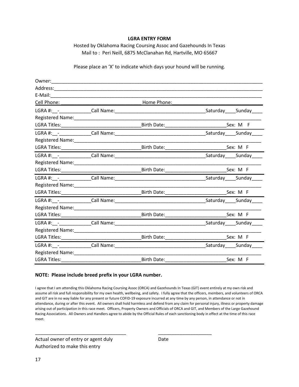#### **LGRA ENTRY FORM**

Hosted by Oklahoma Racing Coursing Assoc and Gazehounds In Texas Mail to : Peri Neill, 6875 McClanahan Rd, Hartville, MO 65667

Please place an 'X' to indicate which days your hound will be running.

| Cell Phone: North Management                                                                                                                                                                                                   | <u> 1965 - Johann John Harrison, mars an Indonesia (</u> | Home Phone:         |                            |
|--------------------------------------------------------------------------------------------------------------------------------------------------------------------------------------------------------------------------------|----------------------------------------------------------|---------------------|----------------------------|
|                                                                                                                                                                                                                                |                                                          |                     | Saturday Sunday            |
|                                                                                                                                                                                                                                |                                                          |                     |                            |
|                                                                                                                                                                                                                                |                                                          |                     |                            |
|                                                                                                                                                                                                                                |                                                          |                     | Saturday______Sunday_____  |
|                                                                                                                                                                                                                                |                                                          |                     |                            |
|                                                                                                                                                                                                                                |                                                          |                     | Sex: M F                   |
|                                                                                                                                                                                                                                |                                                          |                     |                            |
|                                                                                                                                                                                                                                |                                                          |                     |                            |
|                                                                                                                                                                                                                                |                                                          |                     |                            |
|                                                                                                                                                                                                                                |                                                          |                     | Saturday Sunday            |
|                                                                                                                                                                                                                                |                                                          |                     |                            |
|                                                                                                                                                                                                                                |                                                          |                     |                            |
|                                                                                                                                                                                                                                |                                                          |                     |                            |
|                                                                                                                                                                                                                                |                                                          |                     |                            |
|                                                                                                                                                                                                                                |                                                          |                     |                            |
|                                                                                                                                                                                                                                |                                                          |                     | Saturday Sunday            |
|                                                                                                                                                                                                                                |                                                          |                     |                            |
|                                                                                                                                                                                                                                |                                                          |                     |                            |
|                                                                                                                                                                                                                                |                                                          |                     | _Saturday______Sunday_____ |
| Registered Name: \\community \\community \\community \\community \\community \\community \\community \\community \\community \\community \\community \\community \\community \\community \\community \\community \\community \ |                                                          |                     |                            |
| <b>LGRA Titles:</b>                                                                                                                                                                                                            |                                                          | Birth Date:________ | Sex: M F                   |

#### **NOTE: Please include breed prefix in your LGRA number.**

I agree that I am attending this Oklahoma Racing Coursing Assoc (ORCA) and Gazehounds In Texas (GIT) event entirely at my own risk and assume all risk and full responsibility for my own health, wellbeing, and safety. I fully agree that the officers, members, and volunteers of ORCA and GIT are in no way liable for any present or future COFID-19 exposure incurred at any time by any person, in attendance or not in attendance, during or after this event. All owners shall hold harmless and defend from any claim for personal injury, illness or property damage arising out of participation in this race meet. Officers, Property Owners and Officials of ORCA and GIT, and Members of the Large Gazehound Racing Associations. All Owners and Handlers agree to abide by the Official Rules of each sanctioning body in effect at the time of this race meet.

\_\_\_\_\_\_\_\_\_\_\_\_\_\_\_\_\_\_\_\_\_\_\_\_\_\_\_\_\_\_\_\_\_\_ \_\_\_\_\_\_\_\_\_\_\_\_\_\_\_\_\_\_\_\_

Actual owner of entry or agent duly Date Authorized to make this entry